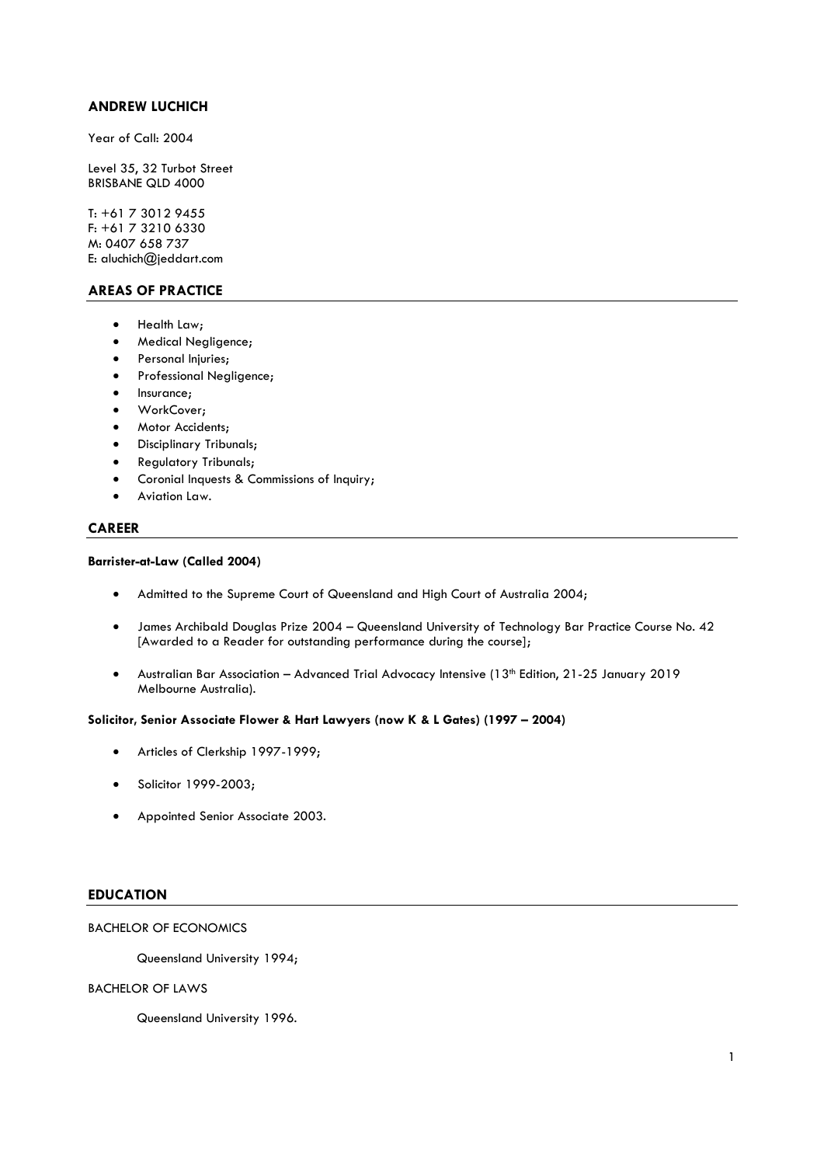## **ANDREW LUCHICH**

Year of Call: 2004

Level 35, 32 Turbot Street BRISBANE QLD 4000

T: +61 7 3012 9455 F: +61 7 3210 6330 M: 0407 658 737 E: aluchich@jeddart.com

# **AREAS OF PRACTICE**

- Health Law;
- Medical Negligence;
- Personal Injuries;
- Professional Negligence;
- Insurance;
- WorkCover;
- Motor Accidents;
- Disciplinary Tribunals;
- Regulatory Tribunals;
- Coronial Inquests & Commissions of Inquiry;
- Aviation Law.

## **CAREER**

### **Barrister-at-Law (Called 2004)**

- Admitted to the Supreme Court of Queensland and High Court of Australia 2004;
- James Archibald Douglas Prize 2004 Queensland University of Technology Bar Practice Course No. 42 [Awarded to a Reader for outstanding performance during the course];
- Australian Bar Association Advanced Trial Advocacy Intensive (13th Edition, 21-25 January 2019 Melbourne Australia).

### **Solicitor, Senior Associate Flower & Hart Lawyers (now K & L Gates) (1997 – 2004)**

- Articles of Clerkship 1997-1999;
- Solicitor 1999-2003;
- Appointed Senior Associate 2003.

### **EDUCATION**

### BACHELOR OF ECONOMICS

Queensland University 1994;

### BACHELOR OF LAWS

Queensland University 1996.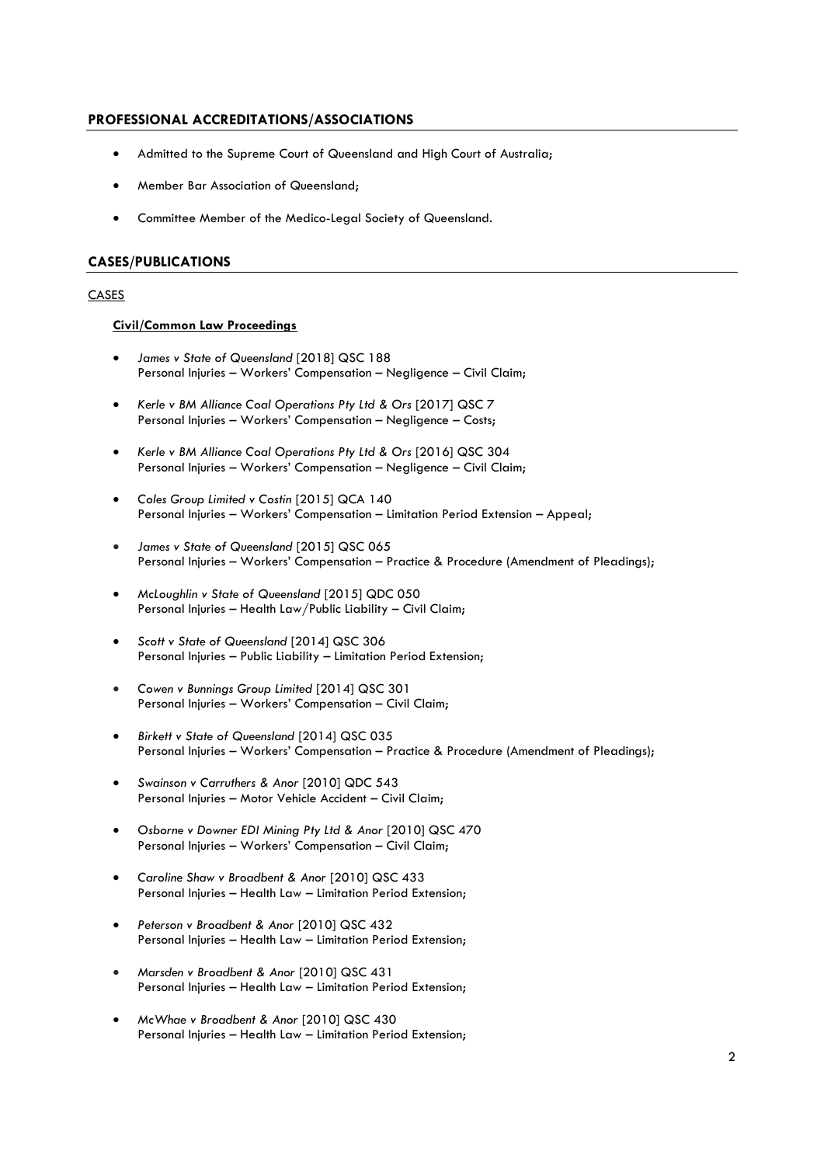### **PROFESSIONAL ACCREDITATIONS/ASSOCIATIONS**

- Admitted to the Supreme Court of Queensland and High Court of Australia;
- Member Bar Association of Queensland;
- Committee Member of the Medico-Legal Society of Queensland.

### **CASES/PUBLICATIONS**

### **CASES**

### **Civil/Common Law Proceedings**

- *James v State of Queensland* [2018] QSC 188 Personal Injuries – Workers' Compensation – Negligence – Civil Claim;
- *Kerle v BM Alliance Coal Operations Pty Ltd & Ors* [2017] QSC 7 Personal Injuries – Workers' Compensation – Negligence – Costs;
- *Kerle v BM Alliance Coal Operations Pty Ltd & Ors* [2016] QSC 304 Personal Injuries – Workers' Compensation – Negligence – Civil Claim;
- *[Coles Group Limited v Costin](http://www.sclqld.org.au/caselaw/QCA/2015/140)* [2015] QCA 140 Personal Injuries – Workers' Compensation – Limitation Period Extension – Appeal;
- *[James v State of Queensland](http://www.sclqld.org.au/caselaw/QSC/2015/065)* [2015] QSC 065 Personal Injuries – Workers' Compensation – Practice & Procedure (Amendment of Pleadings);
- *[McLoughlin v State of Queensland](http://www.sclqld.org.au/caselaw/QDC/2015/050)* [2015] QDC 050 Personal Injuries – Health Law/Public Liability – Civil Claim;
- *[Scott v State of Queensland](http://www.sclqld.org.au/caselaw/QSC/2014/306)* [2014] QSC 306 Personal Injuries – Public Liability – Limitation Period Extension;
- *[Cowen v Bunnings Group Limited](http://www.sclqld.org.au/caselaw/QSC/2014/301)* [2014] QSC 301 Personal Injuries – Workers' Compensation – Civil Claim;
- *[Birkett v State of Queensland](http://www.sclqld.org.au/caselaw/QSC/2014/035)* [2014] QSC 035 Personal Injuries – Workers' Compensation – Practice & Procedure (Amendment of Pleadings);
- *[Swainson v Carruthers & Anor](http://www.sclqld.org.au/caselaw/QDC/2010/543)* [2010] QDC 543 Personal Injuries – Motor Vehicle Accident – Civil Claim;
- *[Osborne v Downer EDI Mining Pty Ltd & Anor](http://www.sclqld.org.au/caselaw/QSC/2010/470)* [2010] QSC 470 Personal Injuries – Workers' Compensation – Civil Claim;
- *[Caroline Shaw v Broadbent & Anor](http://www.sclqld.org.au/caselaw/QSC/2010/433)* [2010] QSC 433 Personal Injuries – Health Law – Limitation Period Extension;
- *[Peterson v Broadbent & Anor](http://www.sclqld.org.au/caselaw/QSC/2010/432)* [2010] QSC 432 Personal Injuries – Health Law – Limitation Period Extension;
- *[Marsden v Broadbent & Anor](http://www.sclqld.org.au/caselaw/QSC/2010/431)* [2010] QSC 431 Personal Injuries – Health Law – Limitation Period Extension;
- *[McWhae v Broadbent & Anor](http://www.sclqld.org.au/caselaw/QSC/2010/430)* [2010] QSC 430 Personal Injuries – Health Law – Limitation Period Extension;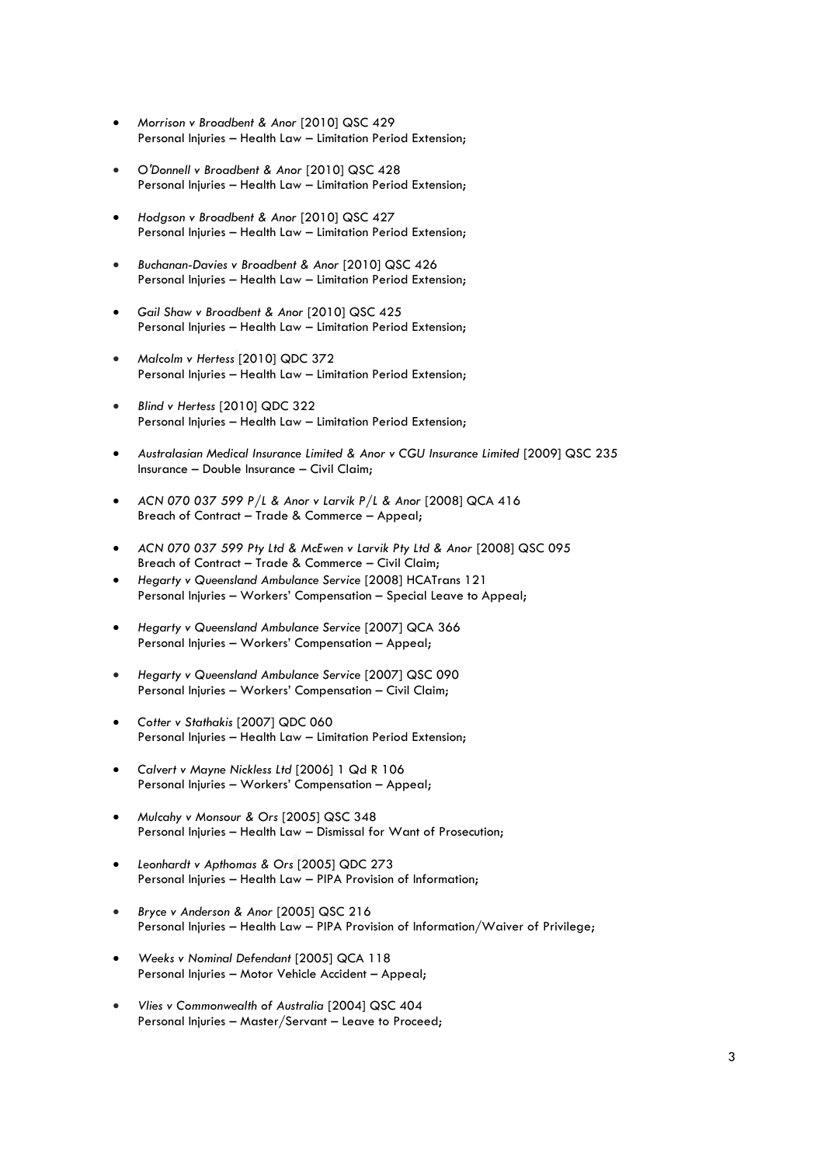- *[Morrison v Broadbent & Anor](http://www.sclqld.org.au/caselaw/QSC/2010/429)* [2010] QSC 429 Personal Injuries – Health Law – Limitation Period Extension;
- *[O'Donnell v Broadbent & Anor](http://www.sclqld.org.au/caselaw/QSC/2010/428)* [2010] QSC 428 Personal Injuries – Health Law – Limitation Period Extension;
- *[Hodgson v Broadbent & Anor](http://www.sclqld.org.au/caselaw/QSC/2010/427)* [2010] QSC 427 Personal Injuries – Health Law – Limitation Period Extension;
- *[Buchanan-Davies v Broadbent & Anor](http://www.sclqld.org.au/caselaw/QSC/2010/426)* [2010] QSC 426 Personal Injuries – Health Law – Limitation Period Extension;
- *[Gail Shaw v Broadbent & Anor](http://www.sclqld.org.au/caselaw/QSC/2010/425)* [2010] QSC 425 Personal Injuries – Health Law – Limitation Period Extension;
- *[Malcolm v Hertess](http://www.sclqld.org.au/caselaw/QDC/2010/372)* [2010] QDC 372 Personal Injuries – Health Law – Limitation Period Extension;
- *[Blind v Hertess](http://www.sclqld.org.au/caselaw/QDC/2010/322)* [2010] QDC 322 Personal Injuries – Health Law – Limitation Period Extension;
- *[Australasian Medical Insurance Limited & Anor v CGU Insurance Limited](http://www.sclqld.org.au/caselaw/QSC/2009/235)* [2009] QSC 235 Insurance – Double Insurance – Civil Claim;
- *ACN 070 037 599 P/L & Anor v Larvik P/L & Anor* [2008] QCA 416 Breach of Contract – Trade & Commerce – Appeal;
- *[ACN 070 037 599 Pty Ltd & McEwen v Larvik Pty Ltd & Anor](http://www.sclqld.org.au/caselaw/QSC/2008/095)* [2008] QSC 095 Breach of Contract – Trade & Commerce – Civil Claim;
- *Hegarty v Queensland Ambulance Service* [2008] HCATrans 121 Personal Injuries – Workers' Compensation – Special Leave to Appeal;
- *[Hegarty v Queensland Ambulance Service](http://www.sclqld.org.au/caselaw/QCA/2007/366)* [2007] QCA 366 Personal Injuries – Workers' Compensation – Appeal;
- *[Hegarty v Queensland Ambulance Service](http://www.sclqld.org.au/caselaw/QSC/2007/090)* [2007] QSC 090 Personal Injuries – Workers' Compensation – Civil Claim;
- *[Cotter v Stathakis](http://www.sclqld.org.au/caselaw/QDC/2007/060)* [2007] QDC 060 Personal Injuries – Health Law – Limitation Period Extension;
- *Calvert v Mayne Nickless Ltd* [2006] 1 Qd R 106 Personal Injuries – Workers' Compensation – Appeal;
- *[Mulcahy v Monsour & Ors](http://www.sclqld.org.au/caselaw/QSC/2005/348)* [2005] QSC 348 Personal Injuries – Health Law – Dismissal for Want of Prosecution;
- *[Leonhardt v Apthomas & Ors](http://www.sclqld.org.au/caselaw/QDC/2005/273)* [2005] QDC 273 Personal Injuries – Health Law – PIPA Provision of Information;
- *[Bryce v Anderson & Anor](http://www.sclqld.org.au/caselaw/QSC/2005/216)* [2005] QSC 216 Personal Injuries – Health Law – PIPA Provision of Information/Waiver of Privilege;
- *[Weeks v Nominal Defendant](http://www.sclqld.org.au/caselaw/QCA/2005/118)* [2005] QCA 118 Personal Injuries – Motor Vehicle Accident – Appeal;
- *[Vlies v Commonwealth of Australia](http://www.sclqld.org.au/caselaw/QSC/2004/404)* [2004] QSC 404 Personal Injuries – Master/Servant – Leave to Proceed;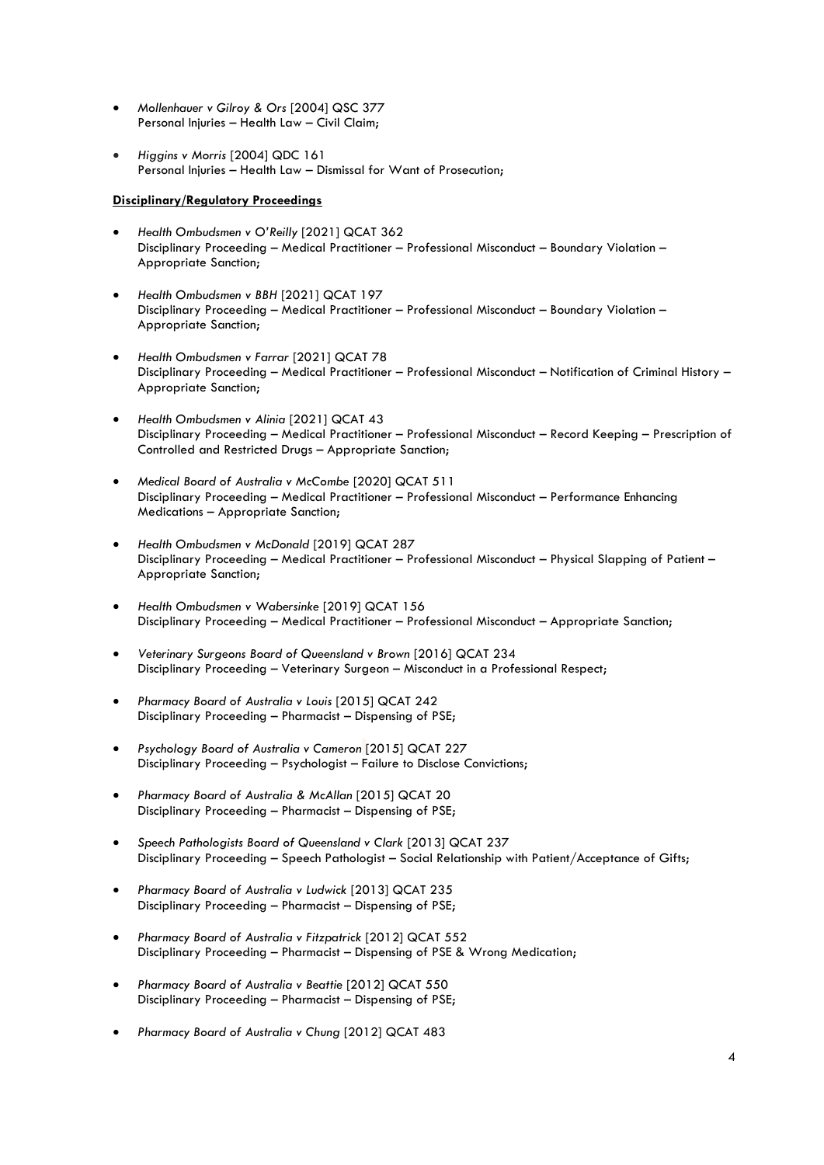- *[Mollenhauer v Gilroy & Ors](http://www.sclqld.org.au/caselaw/QSC/2004/377)* [2004] QSC 377 Personal Injuries – Health Law – Civil Claim;
- *[Higgins v Morris](http://www.sclqld.org.au/caselaw/QDC/2004/161)* [2004] QDC 161 Personal Injuries – Health Law – Dismissal for Want of Prosecution;

### **Disciplinary/Regulatory Proceedings**

- *Health Ombudsmen v O'Reilly* [2021] QCAT 362 Disciplinary Proceeding – Medical Practitioner – Professional Misconduct – Boundary Violation – Appropriate Sanction;
- *Health Ombudsmen v BBH* [2021] QCAT 197 Disciplinary Proceeding – Medical Practitioner – Professional Misconduct – Boundary Violation – Appropriate Sanction;
- *Health Ombudsmen v Farrar* [2021] QCAT 78 Disciplinary Proceeding – Medical Practitioner – Professional Misconduct – Notification of Criminal History – Appropriate Sanction;
- *Health Ombudsmen v Alinia* [2021] QCAT 43 Disciplinary Proceeding – Medical Practitioner – Professional Misconduct – Record Keeping – Prescription of Controlled and Restricted Drugs – Appropriate Sanction;
- *Medical Board of Australia v McCombe* [2020] QCAT 511 Disciplinary Proceeding – Medical Practitioner – Professional Misconduct – Performance Enhancing Medications – Appropriate Sanction;
- *Health Ombudsmen v McDonald* [2019] QCAT 287 Disciplinary Proceeding – Medical Practitioner – Professional Misconduct – Physical Slapping of Patient – Appropriate Sanction;
- *Health Ombudsmen v Wabersinke* [2019] QCAT 156 Disciplinary Proceeding – Medical Practitioner – Professional Misconduct – Appropriate Sanction;
- *Veterinary Surgeons Board of Queensland v Brown* [2016] QCAT 234 Disciplinary Proceeding – Veterinary Surgeon – Misconduct in a Professional Respect;
- *Pharmacy Board of Australia v Louis* [2015] QCAT 242 Disciplinary Proceeding – Pharmacist – Dispensing of PSE;
- *[Psychology Board of Australia v Cameron](http://www.sclqld.org.au/caselaw/QCAT/2015/227)* [2015] QCAT 227 Disciplinary Proceeding – Psychologist – Failure to Disclose Convictions;
- *Pharmacy Board of Australia & McAllan* [2015] QCAT 20 Disciplinary Proceeding – Pharmacist – Dispensing of PSE;
- *Speech Pathologists Board of Queensland v Clark* [2013] QCAT 237 Disciplinary Proceeding – Speech Pathologist – Social Relationship with Patient/Acceptance of Gifts;
- *Pharmacy Board of Australia v Ludwick* [2013] QCAT 235 Disciplinary Proceeding – Pharmacist – Dispensing of PSE;
- *Pharmacy Board of Australia v Fitzpatrick* [2012] QCAT 552 Disciplinary Proceeding – Pharmacist – Dispensing of PSE & Wrong Medication;
- *Pharmacy Board of Australia v Beattie* [2012] QCAT 550 Disciplinary Proceeding – Pharmacist – Dispensing of PSE;
- *Pharmacy Board of Australia v Chung* [2012] QCAT 483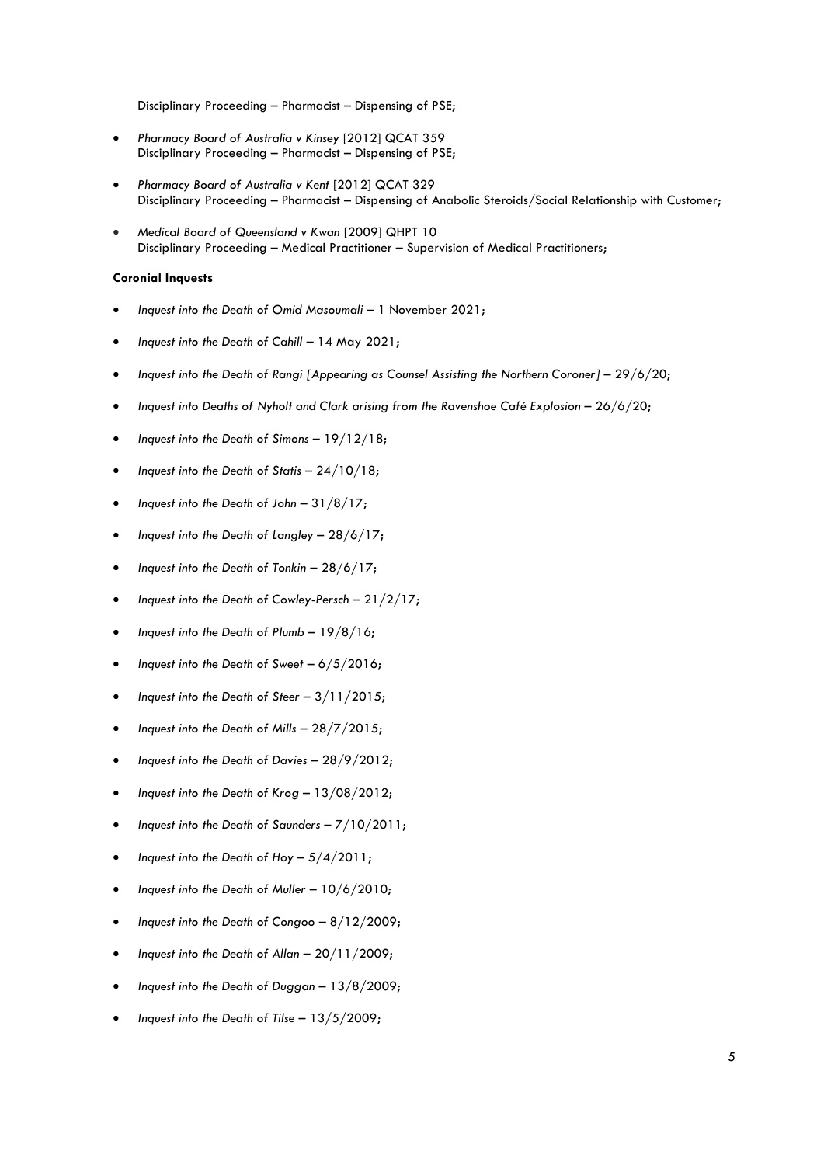Disciplinary Proceeding – Pharmacist – Dispensing of PSE;

- *Pharmacy Board of Australia v Kinsey* [2012] QCAT 359 Disciplinary Proceeding – Pharmacist – Dispensing of PSE;
- *[Pharmacy Board of Australia v Kent](http://www.sclqld.org.au/caselaw/QCAT/2012/329)* [2012] QCAT 329 Disciplinary Proceeding – Pharmacist – Dispensing of Anabolic Steroids/Social Relationship with Customer;
- *[Medical Board of Queensland v Kwan](http://www.sclqld.org.au/caselaw/QHPT/2009/010)* [2009] QHPT 10 Disciplinary Proceeding – Medical Practitioner – Supervision of Medical Practitioners;

#### **Coronial Inquests**

- *Inquest into the Death of Omid Masoumali* 1 November 2021;
- *Inquest into the Death of Cahill* 14 May 2021;
- *Inquest into the Death of Rangi [Appearing as Counsel Assisting the Northern Coroner]* 29/6/20;
- *Inquest into Deaths of Nyholt and Clark arising from the Ravenshoe Café Explosion* 26/6/20;
- *Inquest into the Death of Simons*  19/12/18;
- *Inquest into the Death of Statis* 24/10/18;
- *Inquest into the Death of John* 31/8/17;
- *Inquest into the Death of Langley* 28/6/17;
- *Inquest into the Death of Tonkin* 28/6/17;
- *Inquest into the Death of Cowley-Persch* 21/2/17;
- *Inquest into the Death of Plumb* 19/8/16;
- *Inquest into the Death of Sweet* 6/5/2016;
- *Inquest into the Death of Steer* 3/11/2015;
- *Inquest into the Death of Mills* 28/7/2015;
- *Inquest into the Death of Davies* 28/9/2012;
- *Inquest into the Death of Krog* 13/08/2012;
- *Inquest into the Death of Saunders* 7/10/2011;
- *Inquest into the Death of Hoy –* 5/4/2011;
- *Inquest into the Death of Muller* 10/6/2010;
- *Inquest into the Death of Congoo* 8/12/2009;
- *Inquest into the Death of Allan* 20/11/2009;
- *Inquest into the Death of Duggan* 13/8/2009;
- *Inquest into the Death of Tilse* 13/5/2009;